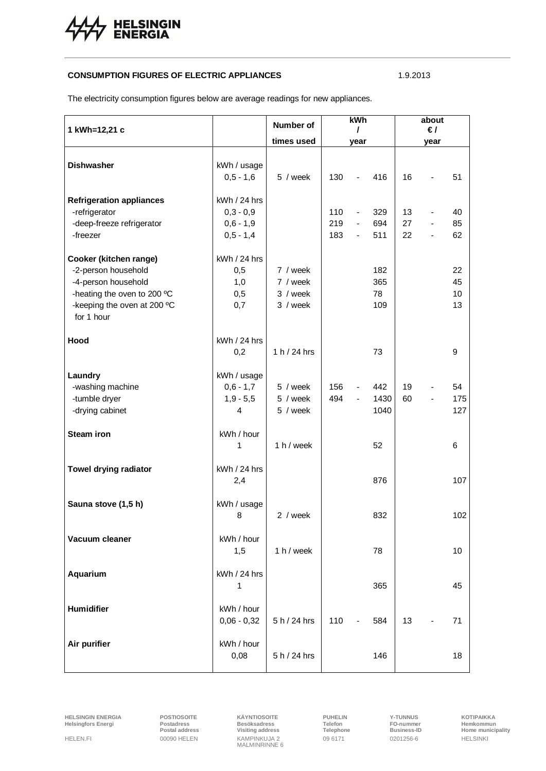

## **CONSUMPTION FIGURES OF ELECTRIC APPLIANCES** 1.9.2013

The electricity consumption figures below are average readings for new appliances.

| 1 kWh=12,21 c                                                                                                                                    |                                                           | Number of                                    | kWh<br>T          |                                                              |                         | about<br>$\epsilon$ / |      |                      |
|--------------------------------------------------------------------------------------------------------------------------------------------------|-----------------------------------------------------------|----------------------------------------------|-------------------|--------------------------------------------------------------|-------------------------|-----------------------|------|----------------------|
|                                                                                                                                                  |                                                           | times used                                   |                   | year                                                         |                         |                       | year |                      |
| <b>Dishwasher</b>                                                                                                                                | kWh / usage<br>$0,5 - 1,6$                                | 5 / week                                     | 130               |                                                              | 416                     | 16                    |      | 51                   |
| <b>Refrigeration appliances</b><br>-refrigerator<br>-deep-freeze refrigerator<br>-freezer                                                        | kWh / 24 hrs<br>$0,3 - 0,9$<br>$0,6 - 1,9$<br>$0,5 - 1,4$ |                                              | 110<br>219<br>183 | $\overline{\phantom{a}}$<br>$\blacksquare$<br>$\blacksquare$ | 329<br>694<br>511       | 13<br>27<br>22        |      | 40<br>85<br>62       |
| Cooker (kitchen range)<br>-2-person household<br>-4-person household<br>-heating the oven to 200 °C<br>-keeping the oven at 200 °C<br>for 1 hour | kWh / 24 hrs<br>0,5<br>1,0<br>0,5<br>0,7                  | 7 / week<br>7 / week<br>3 / week<br>3 / week |                   |                                                              | 182<br>365<br>78<br>109 |                       |      | 22<br>45<br>10<br>13 |
| Hood                                                                                                                                             | $kWh/24$ hrs<br>0,2                                       | 1 h / 24 hrs                                 |                   |                                                              | 73                      |                       |      | 9                    |
| Laundry<br>-washing machine<br>-tumble dryer<br>-drying cabinet                                                                                  | kWh / usage<br>$0,6 - 1,7$<br>$1,9 - 5,5$<br>4            | 5 / week<br>5 / week<br>5 / week             | 156<br>494        | $\overline{\phantom{a}}$<br>$\blacksquare$                   | 442<br>1430<br>1040     | 19<br>60              |      | 54<br>175<br>127     |
| <b>Steam iron</b>                                                                                                                                | kWh / hour<br>$\mathbf{1}$                                | 1 h / week                                   |                   |                                                              | 52                      |                       |      | 6                    |
| <b>Towel drying radiator</b>                                                                                                                     | kWh / 24 hrs<br>2,4                                       |                                              |                   |                                                              | 876                     |                       |      | 107                  |
| Sauna stove (1,5 h)                                                                                                                              | kWh / usage<br>8                                          | 2 / week                                     |                   |                                                              | 832                     |                       |      | 102                  |
| Vacuum cleaner                                                                                                                                   | kWh / hour<br>1,5                                         | 1 h/week                                     |                   |                                                              | 78                      |                       |      | 10                   |
| Aquarium                                                                                                                                         | kWh / 24 hrs<br>1                                         |                                              |                   |                                                              | 365                     |                       |      | 45                   |
| Humidifier                                                                                                                                       | kWh / hour<br>$0,06 - 0,32$                               | 5 h/24 hrs                                   | 110               |                                                              | 584                     | 13                    |      | 71                   |
| Air purifier                                                                                                                                     | kWh / hour<br>0,08                                        | 5 h/24 hrs                                   |                   |                                                              | 146                     |                       |      | 18                   |

 $H$ elsingfors **Energi** 

**HELSINGIN ENERGIA POSTIOSOITE KÄYNTIOSOITE PUHELIN Y-TUNNUS KOTIPAIKKA** Postadiess **Postal address**<br>
Postal address **Postal address**<br>
Postal address **Postal address**<br>
Postal address **Postal address**<br>
Postal address **Postal address**<br>
Postal address **Postal address**<br>
Postal address **Postal addre** HELEN.FI 00090 HELEN KAMPINKUJA 2 09 6171 0201256-6 HELSINKI MALMINRINNE 6